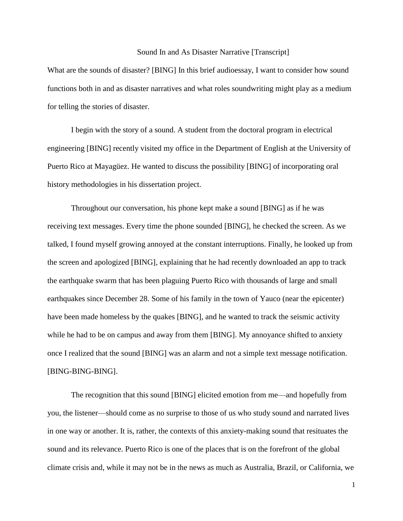## Sound In and As Disaster Narrative [Transcript]

What are the sounds of disaster? [BING] In this brief audioessay, I want to consider how sound functions both in and as disaster narratives and what roles soundwriting might play as a medium for telling the stories of disaster.

I begin with the story of a sound. A student from the doctoral program in electrical engineering [BING] recently visited my office in the Department of English at the University of Puerto Rico at Mayagüez. He wanted to discuss the possibility [BING] of incorporating oral history methodologies in his dissertation project.

Throughout our conversation, his phone kept make a sound [BING] as if he was receiving text messages. Every time the phone sounded [BING], he checked the screen. As we talked, I found myself growing annoyed at the constant interruptions. Finally, he looked up from the screen and apologized [BING], explaining that he had recently downloaded an app to track the earthquake swarm that has been plaguing Puerto Rico with thousands of large and small earthquakes since December 28. Some of his family in the town of Yauco (near the epicenter) have been made homeless by the quakes [BING], and he wanted to track the seismic activity while he had to be on campus and away from them [BING]. My annoyance shifted to anxiety once I realized that the sound [BING] was an alarm and not a simple text message notification. [BING-BING-BING].

The recognition that this sound [BING] elicited emotion from me—and hopefully from you, the listener—should come as no surprise to those of us who study sound and narrated lives in one way or another. It is, rather, the contexts of this anxiety-making sound that resituates the sound and its relevance. Puerto Rico is one of the places that is on the forefront of the global climate crisis and, while it may not be in the news as much as Australia, Brazil, or California, we

1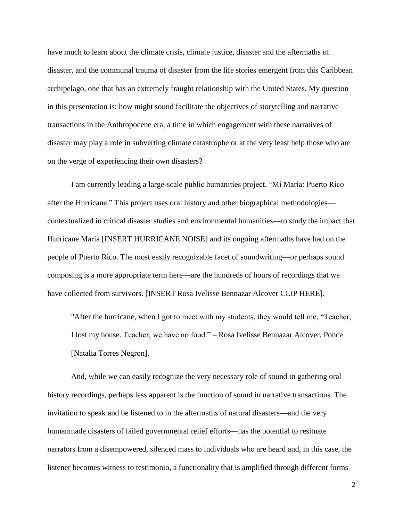have much to learn about the climate crisis, climate justice, disaster and the aftermaths of disaster, and the communal trauma of disaster from the life stories emergent from this Caribbean archipelago, one that has an extremely fraught relationship with the United States. My question in this presentation is: how might sound facilitate the objectives of storytelling and narrative transactions in the Anthropocene era, a time in which engagement with these narratives of disaster may play a role in subverting climate catastrophe or at the very least help those who are on the verge of experiencing their own disasters?

I am currently leading a large-scale public humanities project, "Mi Maria: Puerto Rico after the Hurricane." This project uses oral history and other biographical methodologies contextualized in critical disaster studies and environmental humanities—to study the impact that Hurricane María [INSERT HURRICANE NOISE] and its ongoing aftermaths have had on the people of Puerto Rico. The most easily recognizable facet of soundwriting—or perhaps sound composing is a more appropriate term here—are the hundreds of hours of recordings that we have collected from survivors. [INSERT Rosa Ivelisse Bennazar Alcover CLIP HERE].

"After the hurricane, when I got to meet with my students, they would tell me, "Teacher, I lost my house. Teacher, we have no food." – Rosa Ivelisse Bennazar Alcover, Ponce [Natalia Torres Negron].

And, while we can easily recognize the very necessary role of sound in gathering oral history recordings, perhaps less apparent is the function of sound in narrative transactions. The invitation to speak and be listened to in the aftermaths of natural disasters—and the very humanmade disasters of failed governmental relief efforts—has the potential to resituate narrators from a disempowered, silenced mass to individuals who are heard and, in this case, the listener becomes witness to testimonio, a functionality that is amplified through different forms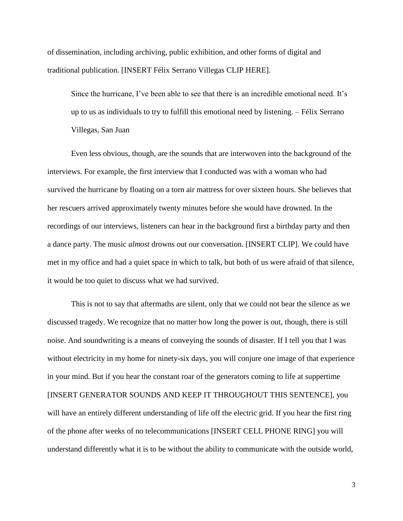of dissemination, including archiving, public exhibition, and other forms of digital and traditional publication. [INSERT Félix Serrano Villegas CLIP HERE].

Since the hurricane, I've been able to see that there is an incredible emotional need. It's up to us as individuals to try to fulfill this emotional need by listening. – Félix Serrano Villegas, San Juan

Even less obvious, though, are the sounds that are interwoven into the background of the interviews. For example, the first interview that I conducted was with a woman who had survived the hurricane by floating on a torn air mattress for over sixteen hours. She believes that her rescuers arrived approximately twenty minutes before she would have drowned. In the recordings of our interviews, listeners can hear in the background first a birthday party and then a dance party. The music *almost* drowns out our conversation. [INSERT CLIP]. We could have met in my office and had a quiet space in which to talk, but both of us were afraid of that silence, it would be too quiet to discuss what we had survived.

This is not to say that aftermaths are silent, only that we could not bear the silence as we discussed tragedy. We recognize that no matter how long the power is out, though, there is still noise. And soundwriting is a means of conveying the sounds of disaster. If I tell you that I was without electricity in my home for ninety-six days, you will conjure one image of that experience in your mind. But if you hear the constant roar of the generators coming to life at suppertime [INSERT GENERATOR SOUNDS AND KEEP IT THROUGHOUT THIS SENTENCE], you will have an entirely different understanding of life off the electric grid. If you hear the first ring of the phone after weeks of no telecommunications [INSERT CELL PHONE RING] you will understand differently what it is to be without the ability to communicate with the outside world,

3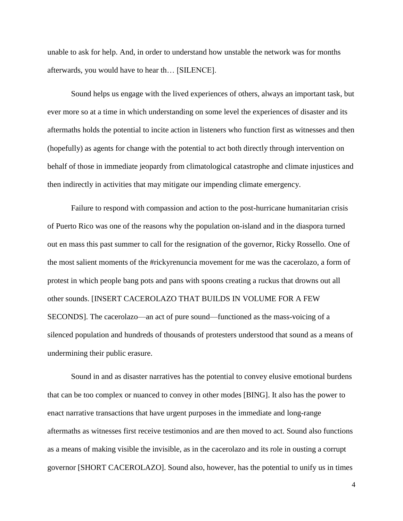unable to ask for help. And, in order to understand how unstable the network was for months afterwards, you would have to hear th… [SILENCE].

Sound helps us engage with the lived experiences of others, always an important task, but ever more so at a time in which understanding on some level the experiences of disaster and its aftermaths holds the potential to incite action in listeners who function first as witnesses and then (hopefully) as agents for change with the potential to act both directly through intervention on behalf of those in immediate jeopardy from climatological catastrophe and climate injustices and then indirectly in activities that may mitigate our impending climate emergency.

Failure to respond with compassion and action to the post-hurricane humanitarian crisis of Puerto Rico was one of the reasons why the population on-island and in the diaspora turned out en mass this past summer to call for the resignation of the governor, Ricky Rossello. One of the most salient moments of the #rickyrenuncia movement for me was the cacerolazo, a form of protest in which people bang pots and pans with spoons creating a ruckus that drowns out all other sounds. [INSERT CACEROLAZO THAT BUILDS IN VOLUME FOR A FEW SECONDS]. The cacerolazo—an act of pure sound—functioned as the mass-voicing of a silenced population and hundreds of thousands of protesters understood that sound as a means of undermining their public erasure.

Sound in and as disaster narratives has the potential to convey elusive emotional burdens that can be too complex or nuanced to convey in other modes [BING]. It also has the power to enact narrative transactions that have urgent purposes in the immediate and long-range aftermaths as witnesses first receive testimonios and are then moved to act. Sound also functions as a means of making visible the invisible, as in the cacerolazo and its role in ousting a corrupt governor [SHORT CACEROLAZO]. Sound also, however, has the potential to unify us in times

4